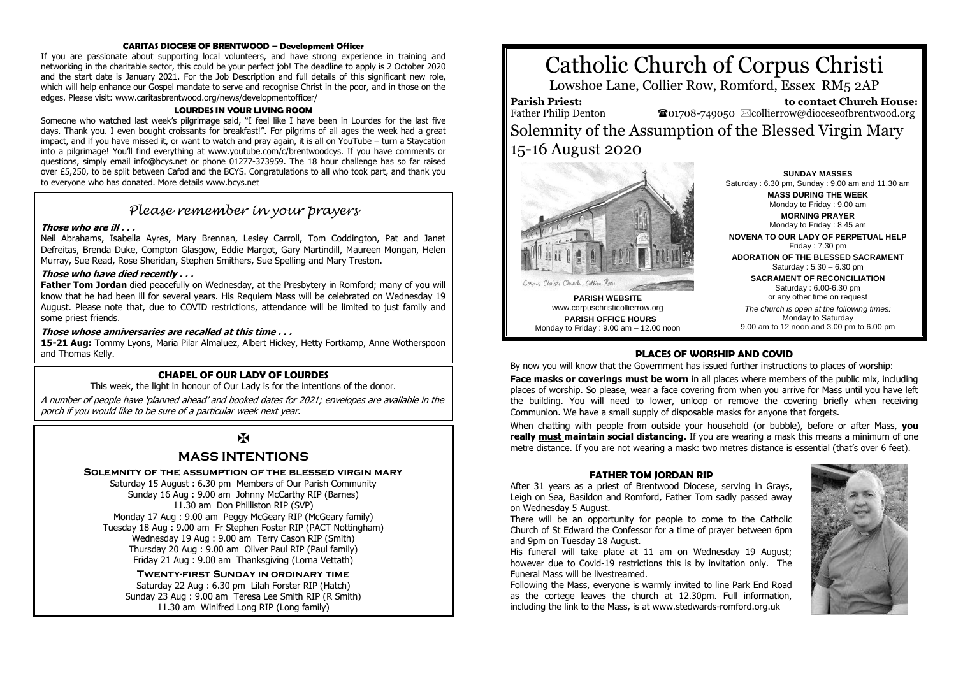#### **CARITAS DIOCESE OF BRENTWOOD – Development Officer**

If you are passionate about supporting local volunteers, and have strong experience in training and networking in the charitable sector, this could be your perfect job! The deadline to apply is 2 October 2020 and the start date is January 2021. For the Job Description and full details of this significant new role, which will help enhance our Gospel mandate to serve and recognise Christ in the poor, and in those on the edges. Please visit: www.caritasbrentwood.org/news/developmentofficer/

#### **LOURDES IN YOUR LIVING ROOM**

Someone who watched last week's pilgrimage said, "I feel like I have been in Lourdes for the last five days. Thank you. I even bought croissants for breakfast!". For pilgrims of all ages the week had a great impact, and if you have missed it, or want to watch and pray again, it is all on YouTube – turn a Staycation into a pilgrimage! You'll find everything at www.youtube.com/c/brentwoodcys. If you have comments or questions, simply email info@bcys.net or phone 01277-373959. The 18 hour challenge has so far raised over £5,250, to be split between Cafod and the BCYS. Congratulations to all who took part, and thank you to everyone who has donated. More details www.bcys.net

## *Please remember in your prayers*

#### **Those who are ill . . .**

Neil Abrahams, Isabella Ayres, Mary Brennan, Lesley Carroll, Tom Coddington, Pat and Janet Defreitas, Brenda Duke, Compton Glasgow, Eddie Margot, Gary Martindill, Maureen Mongan, Helen Murray, Sue Read, Rose Sheridan, Stephen Smithers, Sue Spelling and Mary Treston.

#### **Those who have died recently . . .**

**Father Tom Jordan** died peacefully on Wednesday, at the Presbytery in Romford; many of you will know that he had been ill for several years. His Requiem Mass will be celebrated on Wednesday 19 August. Please note that, due to COVID restrictions, attendance will be limited to just family and some priest friends.

#### **Those whose anniversaries are recalled at this time . . .**

**15-21 Aug:** Tommy Lyons, Maria Pilar Almaluez, Albert Hickey, Hetty Fortkamp, Anne Wotherspoon and Thomas Kelly.

#### **CHAPEL OF OUR LADY OF LOURDES**

This week, the light in honour of Our Lady is for the intentions of the donor.

A number of people have 'planned ahead' and booked dates for 2021; envelopes are available in the porch if you would like to be sure of a particular week next year.

# K

### **MASS INTENTIONS**

#### **Solemnity of the assumption of the blessed virgin mary**

Saturday 15 August : 6.30 pm Members of Our Parish Community Sunday 16 Aug : 9.00 am Johnny McCarthy RIP (Barnes) 11.30 am Don Philliston RIP (SVP) Monday 17 Aug : 9.00 am Peggy McGeary RIP (McGeary family) Tuesday 18 Aug : 9.00 am Fr Stephen Foster RIP (PACT Nottingham) Wednesday 19 Aug : 9.00 am Terry Cason RIP (Smith) Thursday 20 Aug : 9.00 am Oliver Paul RIP (Paul family) Friday 21 Aug : 9.00 am Thanksgiving (Lorna Vettath)

**Twenty-first Sunday in ordinary time**

Saturday 22 Aug : 6.30 pm Lilah Forster RIP (Hatch) Sunday 23 Aug : 9.00 am Teresa Lee Smith RIP (R Smith) 11.30 am Winifred Long RIP (Long family)

# Catholic Church of Corpus Christi

Lowshoe Lane, Collier Row, Romford, Essex RM5 2AP

**Parish Priest:**

 **to contact Church House:**  $\bullet$ 01708-749050  $\boxtimes$ collierrow@dioceseofbrentwood.org

Father Philip Denton Solemnity of the Assumption of the Blessed Virgin Mary 15-16 August 2020



**PARISH WEBSITE** www.corpuschristicollierrow.org **PARISH OFFICE HOURS** Monday to Friday : 9.00 am – 12.00 noon

**SUNDAY MASSES** Saturday : 6.30 pm, Sunday : 9.00 am and 11.30 am **MASS DURING THE WEEK** Monday to Friday : 9.00 am **MORNING PRAYER** Monday to Friday : 8.45 am **NOVENA TO OUR LADY OF PERPETUAL HELP** Friday : 7.30 pm **ADORATION OF THE BLESSED SACRAMENT** Saturday : 5.30 – 6.30 pm

**SACRAMENT OF RECONCILIATION** Saturday : 6.00-6.30 pm

or any other time on request *The church is open at the following times:* Monday to Saturday 9.00 am to 12 noon and 3.00 pm to 6.00 pm

#### **PLACES OF WORSHIP AND COVID**

By now you will know that the Government has issued further instructions to places of worship:

**Face masks or coverings must be worn** in all places where members of the public mix, including places of worship. So please, wear a face covering from when you arrive for Mass until you have left the building. You will need to lower, unloop or remove the covering briefly when receiving Communion. We have a small supply of disposable masks for anyone that forgets.

When chatting with people from outside your household (or bubble), before or after Mass, **you really must maintain social distancing.** If you are wearing a mask this means a minimum of one metre distance. If you are not wearing a mask: two metres distance is essential (that's over 6 feet).

#### **FATHER TOM JORDAN RIP**

After 31 years as a priest of Brentwood Diocese, serving in Grays, Leigh on Sea, Basildon and Romford, Father Tom sadly passed away on Wednesday 5 August.

There will be an opportunity for people to come to the Catholic Church of St Edward the Confessor for a time of prayer between 6pm and 9pm on Tuesday 18 August.

His funeral will take place at 11 am on Wednesday 19 August; however due to Covid-19 restrictions this is by invitation only. The Funeral Mass will be livestreamed.

Following the Mass, everyone is warmly invited to line Park End Road as the cortege leaves the church at 12.30pm. Full information, including the link to the Mass, is at www.stedwards-romford.org.uk